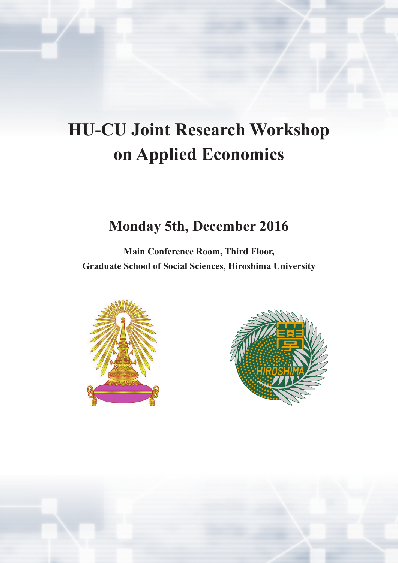# **HU-CU Joint Research Workshop on Applied Economics**

## **Monday 5th, December 2016**

**Main Conference Room, Third Floor, Graduate School of Social Sciences, Hiroshima University**



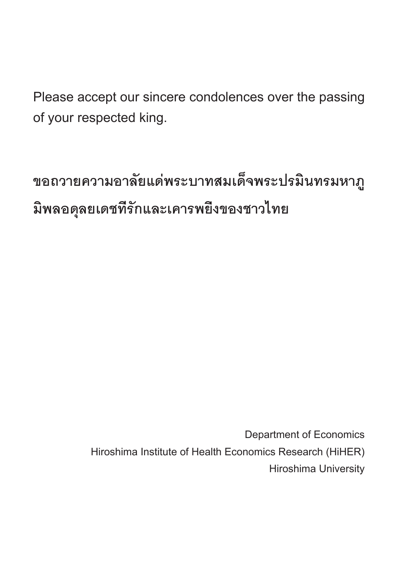Please accept our sincere condolences over the passing of your respected king.

**ขอถวายความอาลัยแด่พระบาทสมเด็จพระปรมินทรมหาภู มิพลอดุลยเดชที่รักและเคารพยิ่งของชาวไทย**

> Department of Economics Hiroshima Institute of Health Economics Research (HiHER) Hiroshima University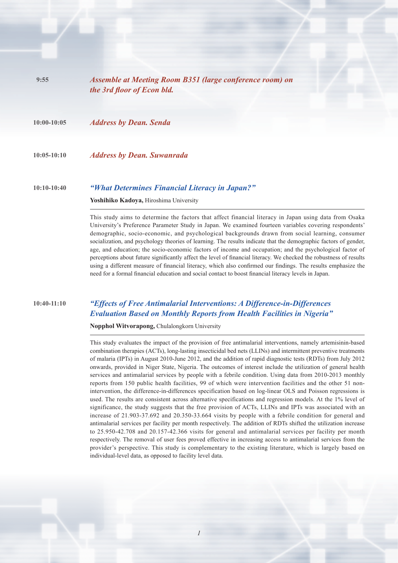| 9:55          | Assemble at Meeting Room B351 (large conference room) on<br>the 3rd floor of Econ bld.   |  |
|---------------|------------------------------------------------------------------------------------------|--|
| $10:00-10:05$ | <b>Address by Dean. Senda</b>                                                            |  |
| $10:05-10:10$ | <b>Address by Dean. Suwanrada</b>                                                        |  |
| $10:10-10:40$ | "What Determines Financial Literacy in Japan?"<br>Yoshihiko Kadoya, Hiroshima University |  |

This study aims to determine the factors that affect financial literacy in Japan using data from Osaka University's Preference Parameter Study in Japan. We examined fourteen variables covering respondents' demographic, socio-economic, and psychological backgrounds drawn from social learning, consumer socialization, and psychology theories of learning. The results indicate that the demographic factors of gender, age, and education; the socio-economic factors of income and occupation; and the psychological factor of perceptions about future significantly affect the level of financial literacy. We checked the robustness of results using a different measure of financial literacy, which also confirmed our findings. The results emphasize the need for a formal financial education and social contact to boost financial literacy levels in Japan.

#### **10:40-11:10** *"Effects of Free Antimalarial Interventions: A Difference-in-Differences Evaluation Based on Monthly Reports from Health Facilities in Nigeria"*

#### **Nopphol Witvorapong,** Chulalongkorn University

This study evaluates the impact of the provision of free antimalarial interventions, namely artemisinin-based combination therapies (ACTs), long-lasting insecticidal bed nets (LLINs) and intermittent preventive treatments of malaria (IPTs) in August 2010-June 2012, and the addition of rapid diagnostic tests (RDTs) from July 2012 onwards, provided in Niger State, Nigeria. The outcomes of interest include the utilization of general health services and antimalarial services by people with a febrile condition. Using data from 2010-2013 monthly reports from 150 public health facilities, 99 of which were intervention facilities and the other 51 nonintervention, the difference-in-differences specification based on log-linear OLS and Poisson regressions is used. The results are consistent across alternative specifications and regression models. At the 1% level of significance, the study suggests that the free provision of ACTs, LLINs and IPTs was associated with an increase of 21.903-37.692 and 20.350-33.664 visits by people with a febrile condition for general and antimalarial services per facility per month respectively. The addition of RDTs shifted the utilization increase to 25.950-42.708 and 20.157-42.366 visits for general and antimalarial services per facility per month respectively. The removal of user fees proved effective in increasing access to antimalarial services from the provider's perspective. This study is complementary to the existing literature, which is largely based on individual-level data, as opposed to facility level data.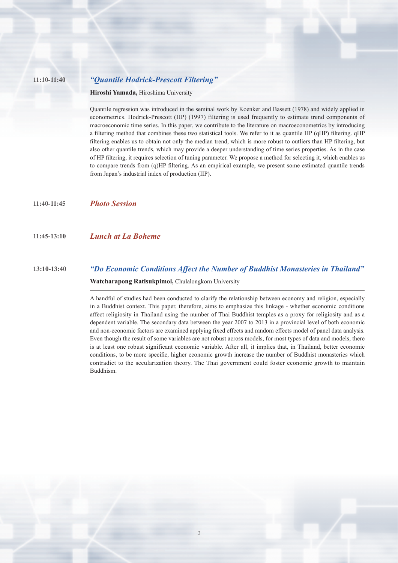#### **11:10-11:40** *"Quantile Hodrick-Prescott Filtering"*

**Hiroshi Yamada,** Hiroshima University

Quantile regression was introduced in the seminal work by Koenker and Bassett (1978) and widely applied in econometrics. Hodrick-Prescott (HP) (1997) filtering is used frequently to estimate trend components of macroeconomic time series. In this paper, we contribute to the literature on macroeconometrics by introducing a filtering method that combines these two statistical tools. We refer to it as quantile HP (qHP) filtering. qHP filtering enables us to obtain not only the median trend, which is more robust to outliers than HP filtering, but also other quantile trends, which may provide a deeper understanding of time series properties. As in the case of HP fi ltering, it requires selection of tuning parameter. We propose a method for selecting it, which enables us to compare trends from (q)HP filtering. As an empirical example, we present some estimated quantile trends from Japan's industrial index of production (IIP).

**11:40-11:45** *Photo Session*

**11:45-13:10** *Lunch at La Boheme*

### **13:10-13:40** *"Do Economic Conditions Affect the Number of Buddhist Monasteries in Thailand"* **Watcharapong Ratisukpimol,** Chulalongkorn University

A handful of studies had been conducted to clarify the relationship between economy and religion, especially in a Buddhist context. This paper, therefore, aims to emphasize this linkage - whether economic conditions affect religiosity in Thailand using the number of Thai Buddhist temples as a proxy for religiosity and as a dependent variable. The secondary data between the year 2007 to 2013 in a provincial level of both economic and non-economic factors are examined applying fixed effects and random effects model of panel data analysis. Even though the result of some variables are not robust across models, for most types of data and models, there is at least one robust significant economic variable. After all, it implies that, in Thailand, better economic conditions, to be more specific, higher economic growth increase the number of Buddhist monasteries which contradict to the secularization theory. The Thai government could foster economic growth to maintain Buddhism.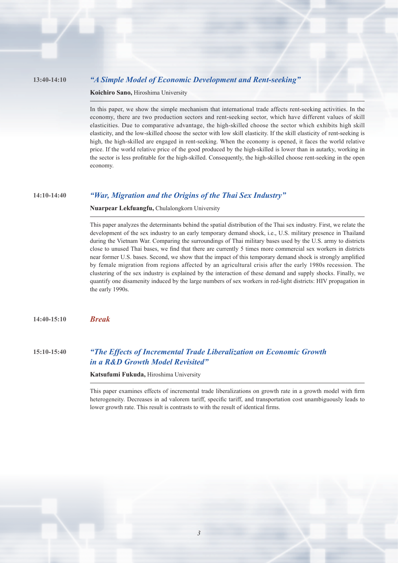#### **13:40-14:10** *"A Simple Model of Economic Development and Rent-seeking"*

**Koichiro Sano,** Hiroshima University

In this paper, we show the simple mechanism that international trade affects rent-seeking activities. In the economy, there are two production sectors and rent-seeking sector, which have different values of skill elasticities. Due to comparative advantage, the high-skilled choose the sector which exhibits high skill elasticity, and the low-skilled choose the sector with low skill elasticity. If the skill elasticity of rent-seeking is high, the high-skilled are engaged in rent-seeking. When the economy is opened, it faces the world relative price. If the world relative price of the good produced by the high-skilled is lower than in autarky, working in the sector is less profitable for the high-skilled. Consequently, the high-skilled choose rent-seeking in the open economy.

#### **14:10-14:40** *"War, Migration and the Origins of the Thai Sex Industry"*

**Nuarpear Lekfuangfu,** Chulalongkorn University

This paper analyzes the determinants behind the spatial distribution of the Thai sex industry. First, we relate the development of the sex industry to an early temporary demand shock, i.e., U.S. military presence in Thailand during the Vietnam War. Comparing the surroundings of Thai military bases used by the U.S. army to districts close to unused Thai bases, we find that there are currently 5 times more commercial sex workers in districts near former U.S. bases. Second, we show that the impact of this temporary demand shock is strongly amplified by female migration from regions affected by an agricultural crisis after the early 1980s recession. The clustering of the sex industry is explained by the interaction of these demand and supply shocks. Finally, we quantify one disamenity induced by the large numbers of sex workers in red-light districts: HIV propagation in the early 1990s.

**14:40-15:10** *Break*

**15:10-15:40** *"The Effects of Incremental Trade Liberalization on Economic Growth in a R&D Growth Model Revisited"*

**Katsufumi Fukuda,** Hiroshima University

This paper examines effects of incremental trade liberalizations on growth rate in a growth model with firm heterogeneity. Decreases in ad valorem tariff, specific tariff, and transportation cost unambiguously leads to lower growth rate. This result is contrasts to with the result of identical firms.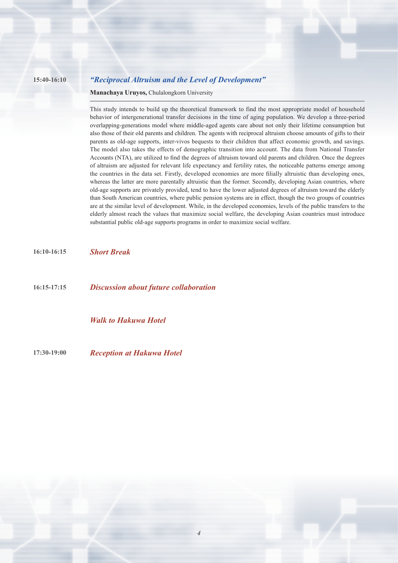#### **15:40-16:10** *"Reciprocal Altruism and the Level of Development"*

**Manachaya Uruyos,** Chulalongkorn University

This study intends to build up the theoretical framework to find the most appropriate model of household behavior of intergenerational transfer decisions in the time of aging population. We develop a three-period overlapping-generations model where middle-aged agents care about not only their lifetime consumption but also those of their old parents and children. The agents with reciprocal altruism choose amounts of gifts to their parents as old-age supports, inter-vivos bequests to their children that affect economic growth, and savings. The model also takes the effects of demographic transition into account. The data from National Transfer Accounts (NTA), are utilized to find the degrees of altruism toward old parents and children. Once the degrees of altruism are adjusted for relevant life expectancy and fertility rates, the noticeable patterns emerge among the countries in the data set. Firstly, developed economies are more filially altruistic than developing ones, whereas the latter are more parentally altruistic than the former. Secondly, developing Asian countries, where old-age supports are privately provided, tend to have the lower adjusted degrees of altruism toward the elderly than South American countries, where public pension systems are in effect, though the two groups of countries are at the similar level of development. While, in the developed economies, levels of the public transfers to the elderly almost reach the values that maximize social welfare, the developing Asian countries must introduce substantial public old-age supports programs in order to maximize social welfare.

**16:10-16:15** *Short Break*

**16:15-17:15** *Discussion about future collaboration*

*Walk to Hakuwa Hotel*

**17:30-19:00** *Reception at Hakuwa Hotel*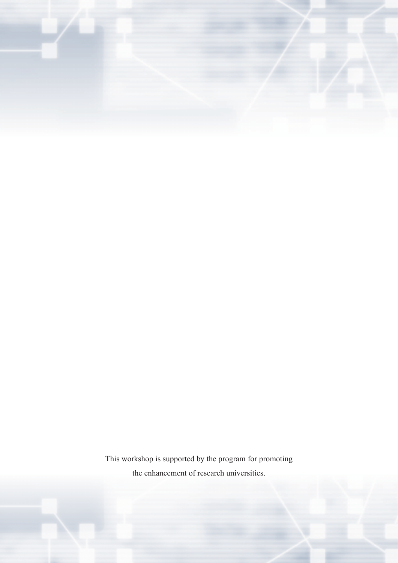

This workshop is supported by the program for promoting the enhancement of research universities.